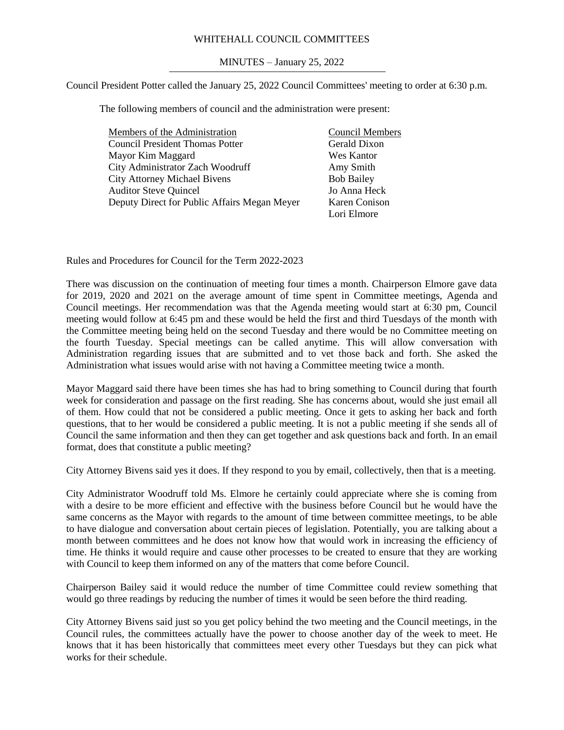## WHITEHALL COUNCIL COMMITTEES

## MINUTES – January 25, 2022

Council President Potter called the January 25, 2022 Council Committees' meeting to order at 6:30 p.m.

The following members of council and the administration were present:

| Members of the Administration                | <b>Council Members</b> |
|----------------------------------------------|------------------------|
| <b>Council President Thomas Potter</b>       | Gerald Dixon           |
| Mayor Kim Maggard                            | Wes Kantor             |
| City Administrator Zach Woodruff             | Amy Smith              |
| <b>City Attorney Michael Bivens</b>          | <b>Bob Bailey</b>      |
| <b>Auditor Steve Quincel</b>                 | Jo Anna Heck           |
| Deputy Direct for Public Affairs Megan Meyer | Karen Conison          |
|                                              | Lori Elmore            |

Rules and Procedures for Council for the Term 2022-2023

There was discussion on the continuation of meeting four times a month. Chairperson Elmore gave data for 2019, 2020 and 2021 on the average amount of time spent in Committee meetings, Agenda and Council meetings. Her recommendation was that the Agenda meeting would start at 6:30 pm, Council meeting would follow at 6:45 pm and these would be held the first and third Tuesdays of the month with the Committee meeting being held on the second Tuesday and there would be no Committee meeting on the fourth Tuesday. Special meetings can be called anytime. This will allow conversation with Administration regarding issues that are submitted and to vet those back and forth. She asked the Administration what issues would arise with not having a Committee meeting twice a month.

Mayor Maggard said there have been times she has had to bring something to Council during that fourth week for consideration and passage on the first reading. She has concerns about, would she just email all of them. How could that not be considered a public meeting. Once it gets to asking her back and forth questions, that to her would be considered a public meeting. It is not a public meeting if she sends all of Council the same information and then they can get together and ask questions back and forth. In an email format, does that constitute a public meeting?

City Attorney Bivens said yes it does. If they respond to you by email, collectively, then that is a meeting.

City Administrator Woodruff told Ms. Elmore he certainly could appreciate where she is coming from with a desire to be more efficient and effective with the business before Council but he would have the same concerns as the Mayor with regards to the amount of time between committee meetings, to be able to have dialogue and conversation about certain pieces of legislation. Potentially, you are talking about a month between committees and he does not know how that would work in increasing the efficiency of time. He thinks it would require and cause other processes to be created to ensure that they are working with Council to keep them informed on any of the matters that come before Council.

Chairperson Bailey said it would reduce the number of time Committee could review something that would go three readings by reducing the number of times it would be seen before the third reading.

City Attorney Bivens said just so you get policy behind the two meeting and the Council meetings, in the Council rules, the committees actually have the power to choose another day of the week to meet. He knows that it has been historically that committees meet every other Tuesdays but they can pick what works for their schedule.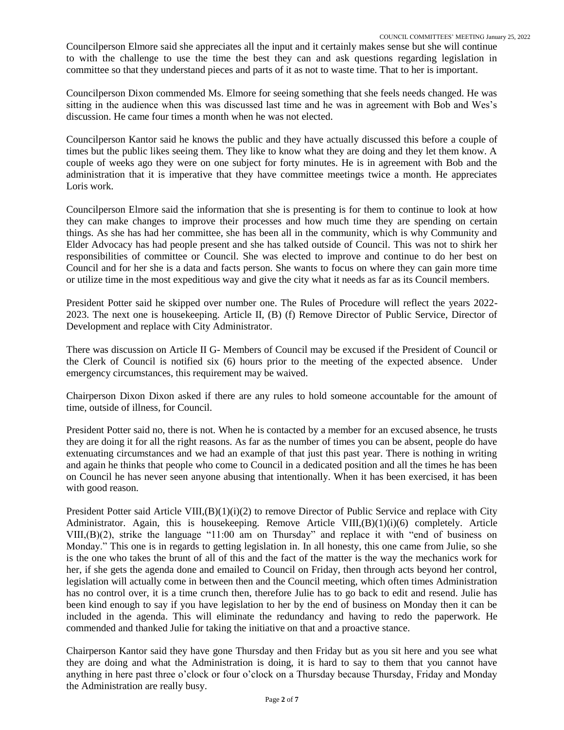Councilperson Elmore said she appreciates all the input and it certainly makes sense but she will continue to with the challenge to use the time the best they can and ask questions regarding legislation in committee so that they understand pieces and parts of it as not to waste time. That to her is important.

Councilperson Dixon commended Ms. Elmore for seeing something that she feels needs changed. He was sitting in the audience when this was discussed last time and he was in agreement with Bob and Wes's discussion. He came four times a month when he was not elected.

Councilperson Kantor said he knows the public and they have actually discussed this before a couple of times but the public likes seeing them. They like to know what they are doing and they let them know. A couple of weeks ago they were on one subject for forty minutes. He is in agreement with Bob and the administration that it is imperative that they have committee meetings twice a month. He appreciates Loris work.

Councilperson Elmore said the information that she is presenting is for them to continue to look at how they can make changes to improve their processes and how much time they are spending on certain things. As she has had her committee, she has been all in the community, which is why Community and Elder Advocacy has had people present and she has talked outside of Council. This was not to shirk her responsibilities of committee or Council. She was elected to improve and continue to do her best on Council and for her she is a data and facts person. She wants to focus on where they can gain more time or utilize time in the most expeditious way and give the city what it needs as far as its Council members.

President Potter said he skipped over number one. The Rules of Procedure will reflect the years 2022- 2023. The next one is housekeeping. Article II, (B) (f) Remove Director of Public Service, Director of Development and replace with City Administrator.

There was discussion on Article II G- Members of Council may be excused if the President of Council or the Clerk of Council is notified six (6) hours prior to the meeting of the expected absence. Under emergency circumstances, this requirement may be waived.

Chairperson Dixon Dixon asked if there are any rules to hold someone accountable for the amount of time, outside of illness, for Council.

President Potter said no, there is not. When he is contacted by a member for an excused absence, he trusts they are doing it for all the right reasons. As far as the number of times you can be absent, people do have extenuating circumstances and we had an example of that just this past year. There is nothing in writing and again he thinks that people who come to Council in a dedicated position and all the times he has been on Council he has never seen anyone abusing that intentionally. When it has been exercised, it has been with good reason.

President Potter said Article VIII,(B)(1)(i)(2) to remove Director of Public Service and replace with City Administrator. Again, this is housekeeping. Remove Article VIII,(B)(1)(i)(6) completely. Article VIII,(B)(2), strike the language "11:00 am on Thursday" and replace it with "end of business on Monday." This one is in regards to getting legislation in. In all honesty, this one came from Julie, so she is the one who takes the brunt of all of this and the fact of the matter is the way the mechanics work for her, if she gets the agenda done and emailed to Council on Friday, then through acts beyond her control, legislation will actually come in between then and the Council meeting, which often times Administration has no control over, it is a time crunch then, therefore Julie has to go back to edit and resend. Julie has been kind enough to say if you have legislation to her by the end of business on Monday then it can be included in the agenda. This will eliminate the redundancy and having to redo the paperwork. He commended and thanked Julie for taking the initiative on that and a proactive stance.

Chairperson Kantor said they have gone Thursday and then Friday but as you sit here and you see what they are doing and what the Administration is doing, it is hard to say to them that you cannot have anything in here past three o'clock or four o'clock on a Thursday because Thursday, Friday and Monday the Administration are really busy.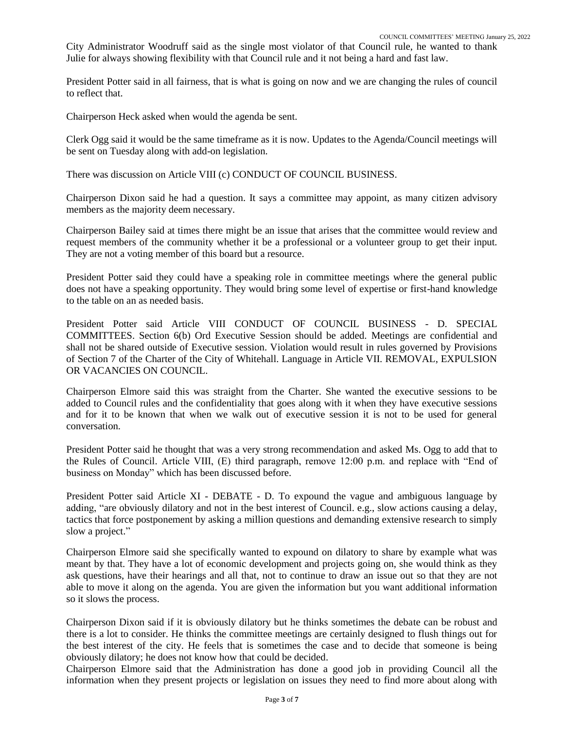City Administrator Woodruff said as the single most violator of that Council rule, he wanted to thank Julie for always showing flexibility with that Council rule and it not being a hard and fast law.

President Potter said in all fairness, that is what is going on now and we are changing the rules of council to reflect that.

Chairperson Heck asked when would the agenda be sent.

Clerk Ogg said it would be the same timeframe as it is now. Updates to the Agenda/Council meetings will be sent on Tuesday along with add-on legislation.

There was discussion on Article VIII (c) CONDUCT OF COUNCIL BUSINESS.

Chairperson Dixon said he had a question. It says a committee may appoint, as many citizen advisory members as the majority deem necessary.

Chairperson Bailey said at times there might be an issue that arises that the committee would review and request members of the community whether it be a professional or a volunteer group to get their input. They are not a voting member of this board but a resource.

President Potter said they could have a speaking role in committee meetings where the general public does not have a speaking opportunity. They would bring some level of expertise or first-hand knowledge to the table on an as needed basis.

President Potter said Article VIII CONDUCT OF COUNCIL BUSINESS - D. SPECIAL COMMITTEES. Section 6(b) Ord Executive Session should be added. Meetings are confidential and shall not be shared outside of Executive session. Violation would result in rules governed by Provisions of Section 7 of the Charter of the City of Whitehall. Language in Article VII. REMOVAL, EXPULSION OR VACANCIES ON COUNCIL.

Chairperson Elmore said this was straight from the Charter. She wanted the executive sessions to be added to Council rules and the confidentiality that goes along with it when they have executive sessions and for it to be known that when we walk out of executive session it is not to be used for general conversation.

President Potter said he thought that was a very strong recommendation and asked Ms. Ogg to add that to the Rules of Council. Article VIII, (E) third paragraph, remove 12:00 p.m. and replace with "End of business on Monday" which has been discussed before.

President Potter said Article XI - DEBATE - D. To expound the vague and ambiguous language by adding, "are obviously dilatory and not in the best interest of Council. e.g., slow actions causing a delay, tactics that force postponement by asking a million questions and demanding extensive research to simply slow a project."

Chairperson Elmore said she specifically wanted to expound on dilatory to share by example what was meant by that. They have a lot of economic development and projects going on, she would think as they ask questions, have their hearings and all that, not to continue to draw an issue out so that they are not able to move it along on the agenda. You are given the information but you want additional information so it slows the process.

Chairperson Dixon said if it is obviously dilatory but he thinks sometimes the debate can be robust and there is a lot to consider. He thinks the committee meetings are certainly designed to flush things out for the best interest of the city. He feels that is sometimes the case and to decide that someone is being obviously dilatory; he does not know how that could be decided.

Chairperson Elmore said that the Administration has done a good job in providing Council all the information when they present projects or legislation on issues they need to find more about along with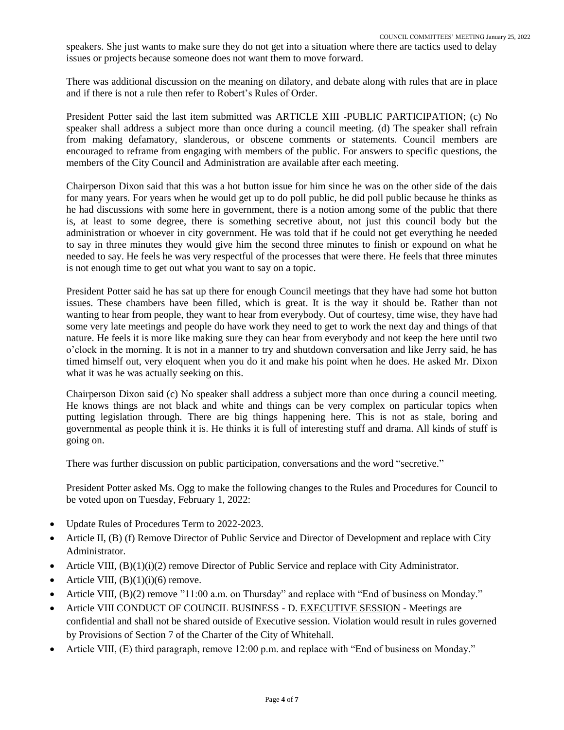speakers. She just wants to make sure they do not get into a situation where there are tactics used to delay issues or projects because someone does not want them to move forward.

There was additional discussion on the meaning on dilatory, and debate along with rules that are in place and if there is not a rule then refer to Robert's Rules of Order.

President Potter said the last item submitted was ARTICLE XIII -PUBLIC PARTICIPATION; (c) No speaker shall address a subject more than once during a council meeting. (d) The speaker shall refrain from making defamatory, slanderous, or obscene comments or statements. Council members are encouraged to reframe from engaging with members of the public. For answers to specific questions, the members of the City Council and Administration are available after each meeting.

Chairperson Dixon said that this was a hot button issue for him since he was on the other side of the dais for many years. For years when he would get up to do poll public, he did poll public because he thinks as he had discussions with some here in government, there is a notion among some of the public that there is, at least to some degree, there is something secretive about, not just this council body but the administration or whoever in city government. He was told that if he could not get everything he needed to say in three minutes they would give him the second three minutes to finish or expound on what he needed to say. He feels he was very respectful of the processes that were there. He feels that three minutes is not enough time to get out what you want to say on a topic.

President Potter said he has sat up there for enough Council meetings that they have had some hot button issues. These chambers have been filled, which is great. It is the way it should be. Rather than not wanting to hear from people, they want to hear from everybody. Out of courtesy, time wise, they have had some very late meetings and people do have work they need to get to work the next day and things of that nature. He feels it is more like making sure they can hear from everybody and not keep the here until two o'clock in the morning. It is not in a manner to try and shutdown conversation and like Jerry said, he has timed himself out, very eloquent when you do it and make his point when he does. He asked Mr. Dixon what it was he was actually seeking on this.

Chairperson Dixon said (c) No speaker shall address a subject more than once during a council meeting. He knows things are not black and white and things can be very complex on particular topics when putting legislation through. There are big things happening here. This is not as stale, boring and governmental as people think it is. He thinks it is full of interesting stuff and drama. All kinds of stuff is going on.

There was further discussion on public participation, conversations and the word "secretive."

President Potter asked Ms. Ogg to make the following changes to the Rules and Procedures for Council to be voted upon on Tuesday, February 1, 2022:

- Update Rules of Procedures Term to 2022-2023.
- Article II, (B) (f) Remove Director of Public Service and Director of Development and replace with City Administrator.
- Article VIII,  $(B)(1)(i)(2)$  remove Director of Public Service and replace with City Administrator.
- Article VIII,  $(B)(1)(i)(6)$  remove.
- Article VIII, (B)(2) remove "11:00 a.m. on Thursday" and replace with "End of business on Monday."
- Article VIII CONDUCT OF COUNCIL BUSINESS D. EXECUTIVE SESSION Meetings are confidential and shall not be shared outside of Executive session. Violation would result in rules governed by Provisions of Section 7 of the Charter of the City of Whitehall.
- Article VIII, (E) third paragraph, remove 12:00 p.m. and replace with "End of business on Monday."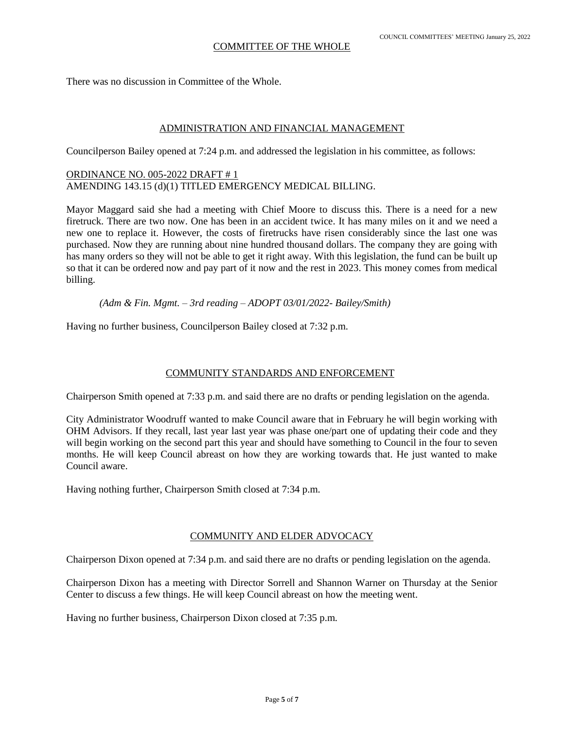There was no discussion in Committee of the Whole.

#### ADMINISTRATION AND FINANCIAL MANAGEMENT

Councilperson Bailey opened at 7:24 p.m. and addressed the legislation in his committee, as follows:

# ORDINANCE NO. 005-2022 DRAFT # 1 AMENDING 143.15 (d)(1) TITLED EMERGENCY MEDICAL BILLING.

Mayor Maggard said she had a meeting with Chief Moore to discuss this. There is a need for a new firetruck. There are two now. One has been in an accident twice. It has many miles on it and we need a new one to replace it. However, the costs of firetrucks have risen considerably since the last one was purchased. Now they are running about nine hundred thousand dollars. The company they are going with has many orders so they will not be able to get it right away. With this legislation, the fund can be built up so that it can be ordered now and pay part of it now and the rest in 2023. This money comes from medical billing.

*(Adm & Fin. Mgmt. – 3rd reading – ADOPT 03/01/2022- Bailey/Smith)*

Having no further business, Councilperson Bailey closed at 7:32 p.m.

# COMMUNITY STANDARDS AND ENFORCEMENT

Chairperson Smith opened at 7:33 p.m. and said there are no drafts or pending legislation on the agenda.

City Administrator Woodruff wanted to make Council aware that in February he will begin working with OHM Advisors. If they recall, last year last year was phase one/part one of updating their code and they will begin working on the second part this year and should have something to Council in the four to seven months. He will keep Council abreast on how they are working towards that. He just wanted to make Council aware.

Having nothing further, Chairperson Smith closed at 7:34 p.m.

# COMMUNITY AND ELDER ADVOCACY

Chairperson Dixon opened at 7:34 p.m. and said there are no drafts or pending legislation on the agenda.

Chairperson Dixon has a meeting with Director Sorrell and Shannon Warner on Thursday at the Senior Center to discuss a few things. He will keep Council abreast on how the meeting went.

Having no further business, Chairperson Dixon closed at 7:35 p.m.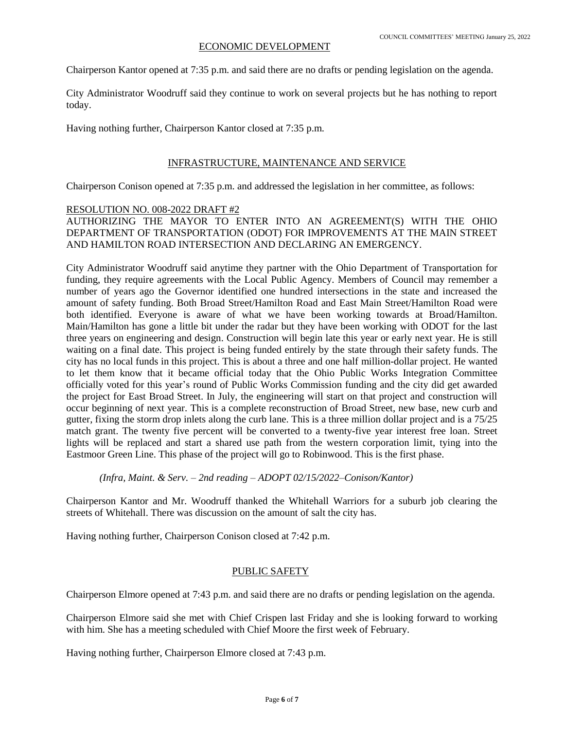### ECONOMIC DEVELOPMENT

Chairperson Kantor opened at 7:35 p.m. and said there are no drafts or pending legislation on the agenda.

City Administrator Woodruff said they continue to work on several projects but he has nothing to report today.

Having nothing further, Chairperson Kantor closed at 7:35 p.m.

### INFRASTRUCTURE, MAINTENANCE AND SERVICE

Chairperson Conison opened at 7:35 p.m. and addressed the legislation in her committee, as follows:

#### RESOLUTION NO. 008-2022 DRAFT #2

AUTHORIZING THE MAYOR TO ENTER INTO AN AGREEMENT(S) WITH THE OHIO DEPARTMENT OF TRANSPORTATION (ODOT) FOR IMPROVEMENTS AT THE MAIN STREET AND HAMILTON ROAD INTERSECTION AND DECLARING AN EMERGENCY.

City Administrator Woodruff said anytime they partner with the Ohio Department of Transportation for funding, they require agreements with the Local Public Agency. Members of Council may remember a number of years ago the Governor identified one hundred intersections in the state and increased the amount of safety funding. Both Broad Street/Hamilton Road and East Main Street/Hamilton Road were both identified. Everyone is aware of what we have been working towards at Broad/Hamilton. Main/Hamilton has gone a little bit under the radar but they have been working with ODOT for the last three years on engineering and design. Construction will begin late this year or early next year. He is still waiting on a final date. This project is being funded entirely by the state through their safety funds. The city has no local funds in this project. This is about a three and one half million-dollar project. He wanted to let them know that it became official today that the Ohio Public Works Integration Committee officially voted for this year's round of Public Works Commission funding and the city did get awarded the project for East Broad Street. In July, the engineering will start on that project and construction will occur beginning of next year. This is a complete reconstruction of Broad Street, new base, new curb and gutter, fixing the storm drop inlets along the curb lane. This is a three million dollar project and is a 75/25 match grant. The twenty five percent will be converted to a twenty-five year interest free loan. Street lights will be replaced and start a shared use path from the western corporation limit, tying into the Eastmoor Green Line. This phase of the project will go to Robinwood. This is the first phase.

*(Infra, Maint. & Serv. – 2nd reading – ADOPT 02/15/2022–Conison/Kantor)*

Chairperson Kantor and Mr. Woodruff thanked the Whitehall Warriors for a suburb job clearing the streets of Whitehall. There was discussion on the amount of salt the city has.

Having nothing further, Chairperson Conison closed at 7:42 p.m.

# PUBLIC SAFETY

Chairperson Elmore opened at 7:43 p.m. and said there are no drafts or pending legislation on the agenda.

Chairperson Elmore said she met with Chief Crispen last Friday and she is looking forward to working with him. She has a meeting scheduled with Chief Moore the first week of February.

Having nothing further, Chairperson Elmore closed at 7:43 p.m.